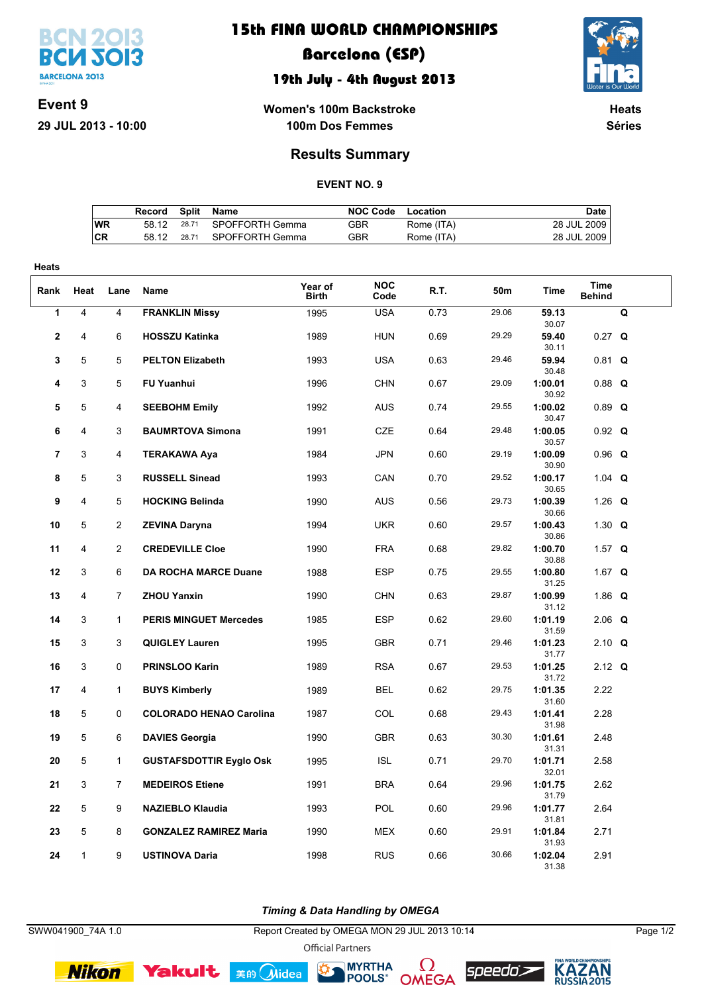

## **15th FINA WORLD CHAMPIONSHIPS**

## **Barcelona (ESP)**

### **19th July - 4th August 2013**



**Event 9 29 JUL 2013 10:00**

**Women's 100m Backstroke 100m Dos Femmes**

**Heats Séries**

### **Results Summary**

#### **EVENT NO. 9**

|           | Record | Split | Name                  | NOC Code | Location   | Date l      |
|-----------|--------|-------|-----------------------|----------|------------|-------------|
| <b>WR</b> | 58.12  |       | 28.71 SPOFFORTH Gemma | GBR      | Rome (ITA) | 28 JUL 2009 |
| <b>CR</b> | 58 12  | 28.71 | SPOFFORTH Gemma       | GBR      | Rome (ITA) | 28 JUL 2009 |

| Heats    |                |                     |                                                       |                  |                          |              |                |                             |                              |   |
|----------|----------------|---------------------|-------------------------------------------------------|------------------|--------------------------|--------------|----------------|-----------------------------|------------------------------|---|
| Rank     | Heat           | Lane                | Name                                                  | Year of<br>Birth | <b>NOC</b><br>Code       | R.T.         | 50m            | Time                        | <b>Time</b><br><b>Behind</b> |   |
| 1        | $\overline{4}$ | 4                   | <b>FRANKLIN Missy</b>                                 | 1995             | <b>USA</b>               | 0.73         | 29.06          | 59.13<br>30.07              |                              | Q |
| 2        | 4              | 6                   | <b>HOSSZU Katinka</b>                                 | 1989             | <b>HUN</b>               | 0.69         | 29.29          | 59.40<br>30.11              | $0.27$ Q                     |   |
| 3        | 5              | 5                   | <b>PELTON Elizabeth</b>                               | 1993             | <b>USA</b>               | 0.63         | 29.46          | 59.94<br>30.48              | $0.81$ Q                     |   |
| 4        | 3              | 5                   | <b>FU Yuanhui</b>                                     | 1996             | <b>CHN</b>               | 0.67         | 29.09          | 1:00.01<br>30.92            | $0.88$ Q                     |   |
| 5        | 5              | 4                   | <b>SEEBOHM Emily</b>                                  | 1992             | <b>AUS</b>               | 0.74         | 29.55          | 1:00.02<br>30.47            | $0.89$ Q                     |   |
| 6        | 4              | 3                   | <b>BAUMRTOVA Simona</b>                               | 1991             | <b>CZE</b>               | 0.64         | 29.48          | 1:00.05<br>30.57            | $0.92$ Q                     |   |
| 7        | 3              | 4                   | <b>TERAKAWA Aya</b>                                   | 1984             | <b>JPN</b>               | 0.60         | 29.19          | 1:00.09<br>30.90            | $0.96$ Q                     |   |
| 8        | 5              | 3                   | <b>RUSSELL Sinead</b>                                 | 1993             | CAN                      | 0.70         | 29.52          | 1:00.17<br>30.65            | 1.04 $Q$                     |   |
| 9        | $\overline{4}$ | 5                   | <b>HOCKING Belinda</b>                                | 1990             | <b>AUS</b>               | 0.56         | 29.73          | 1:00.39<br>30.66            | 1.26 $Q$                     |   |
| 10       | 5              | $\overline{2}$      | <b>ZEVINA Daryna</b>                                  | 1994             | <b>UKR</b>               | 0.60         | 29.57          | 1:00.43<br>30.86            | 1.30 $Q$                     |   |
| 11<br>12 | 4<br>3         | $\overline{2}$<br>6 | <b>CREDEVILLE Cloe</b><br><b>DA ROCHA MARCE Duane</b> | 1990<br>1988     | <b>FRA</b><br><b>ESP</b> | 0.68<br>0.75 | 29.82<br>29.55 | 1:00.70<br>30.88<br>1:00.80 | 1.57 $Q$<br>1.67 $Q$         |   |
| 13       | $\overline{4}$ | $\overline{7}$      | <b>ZHOU Yanxin</b>                                    | 1990             | <b>CHN</b>               | 0.63         | 29.87          | 31.25<br>1:00.99            | 1.86 $Q$                     |   |
| 14       | 3              | $\mathbf{1}$        | <b>PERIS MINGUET Mercedes</b>                         | 1985             | <b>ESP</b>               | 0.62         | 29.60          | 31.12<br>1:01.19            | $2.06$ Q                     |   |
| 15       | 3              | 3                   | <b>QUIGLEY Lauren</b>                                 | 1995             | <b>GBR</b>               | 0.71         | 29.46          | 31.59<br>1:01.23            | 2.10 $Q$                     |   |
| 16       | 3              | 0                   | <b>PRINSLOO Karin</b>                                 | 1989             | <b>RSA</b>               | 0.67         | 29.53          | 31.77<br>1:01.25            | 2.12 $Q$                     |   |
| 17       | 4              | $\mathbf{1}$        | <b>BUYS Kimberly</b>                                  | 1989             | BEL                      | 0.62         | 29.75          | 31.72<br>1:01.35            | 2.22                         |   |
| 18       | 5              | 0                   | <b>COLORADO HENAO Carolina</b>                        | 1987             | <b>COL</b>               | 0.68         | 29.43          | 31.60<br>1:01.41            | 2.28                         |   |
| 19       | 5              | 6                   | <b>DAVIES Georgia</b>                                 | 1990             | <b>GBR</b>               | 0.63         | 30.30          | 31.98<br>1:01.61            | 2.48                         |   |
| 20       | 5              | $\mathbf{1}$        | <b>GUSTAFSDOTTIR Eyglo Osk</b>                        | 1995             | <b>ISL</b>               | 0.71         | 29.70          | 31.31<br>1:01.71            | 2.58                         |   |
| 21       | 3              | $\overline{7}$      | <b>MEDEIROS Etiene</b>                                | 1991             | <b>BRA</b>               | 0.64         | 29.96          | 32.01<br>1:01.75            | 2.62                         |   |
| 22       | 5              | 9                   | <b>NAZIEBLO Klaudia</b>                               | 1993             | POL                      | 0.60         | 29.96          | 31.79<br>1:01.77            | 2.64                         |   |
| 23       | 5              | 8                   | <b>GONZALEZ RAMIREZ Maria</b>                         | 1990             | <b>MEX</b>               | 0.60         | 29.91          | 31.81<br>1:01.84<br>31.93   | 2.71                         |   |
| 24       | $\mathbf{1}$   | 9                   | <b>USTINOVA Daria</b>                                 | 1998             | <b>RUS</b>               | 0.66         | 30.66          | 1:02.04<br>31.38            | 2.91                         |   |

*Timing & Data Handling by OMEGA*

SWW041900\_74A 1.0 Report Created by OMEGA MON 29 JUL 2013 10:14 Page 1/2

**MYRTHA** 

<u>( )</u>

POOLS<sup>®</sup> OMEGA

**Official Partners** 

 $\mathbf{r}$ 

美的 Midea